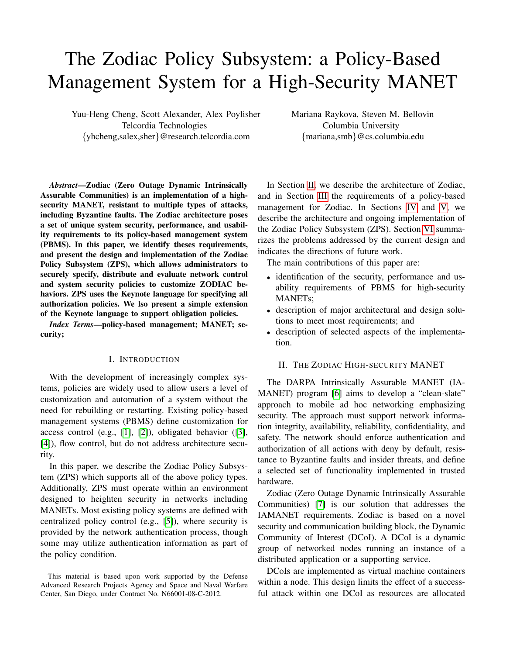# The Zodiac Policy Subsystem: a Policy-Based Management System for a High-Security MANET

Yuu-Heng Cheng, Scott Alexander, Alex Poylisher Telcordia Technologies {yhcheng,salex,sher}@research.telcordia.com

Mariana Raykova, Steven M. Bellovin Columbia University {mariana,smb}@cs.columbia.edu

*Abstract*—Zodiac (Zero Outage Dynamic Intrinsically Assurable Communities) is an implementation of a highsecurity MANET, resistant to multiple types of attacks, including Byzantine faults. The Zodiac architecture poses a set of unique system security, performance, and usability requirements to its policy-based management system (PBMS). In this paper, we identify theses requirements, and present the design and implementation of the Zodiac Policy Subsystem (ZPS), which allows administrators to securely specify, distribute and evaluate network control and system security policies to customize ZODIAC behaviors. ZPS uses the Keynote language for specifying all authorization policies. We lso present a simple extension of the Keynote language to support obligation policies.

*Index Terms*—policy-based management; MANET; security;

#### I. INTRODUCTION

With the development of increasingly complex systems, policies are widely used to allow users a level of customization and automation of a system without the need for rebuilding or restarting. Existing policy-based management systems (PBMS) define customization for access control (e.g., [\[1\]](#page-7-0), [\[2\]](#page-7-1)), obligated behavior ([\[3\]](#page-7-2), [\[4\]](#page-7-3)), flow control, but do not address architecture security.

In this paper, we describe the Zodiac Policy Subsystem (ZPS) which supports all of the above policy types. Additionally, ZPS must operate within an environment designed to heighten security in networks including MANETs. Most existing policy systems are defined with centralized policy control (e.g., [\[5\]](#page-7-4)), where security is provided by the network authentication process, though some may utilize authentication information as part of the policy condition.

This material is based upon work supported by the Defense Advanced Research Projects Agency and Space and Naval Warfare Center, San Diego, under Contract No. N66001-08-C-2012.

In Section [II,](#page-0-0) we describe the architecture of Zodiac, and in Section [III](#page-1-0) the requirements of a policy-based management for Zodiac. In Sections [IV](#page-2-0) and [V,](#page-4-0) we describe the architecture and ongoing implementation of the Zodiac Policy Subsystem (ZPS). Section [VI](#page-6-0) summarizes the problems addressed by the current design and indicates the directions of future work.

The main contributions of this paper are:

- identification of the security, performance and usability requirements of PBMS for high-security MANETs;
- description of major architectural and design solutions to meet most requirements; and
- description of selected aspects of the implementation.

## <span id="page-0-0"></span>II. THE ZODIAC HIGH-SECURITY MANET

The DARPA Intrinsically Assurable MANET (IA-MANET) program [\[6\]](#page-7-5) aims to develop a "clean-slate" approach to mobile ad hoc networking emphasizing security. The approach must support network information integrity, availability, reliability, confidentiality, and safety. The network should enforce authentication and authorization of all actions with deny by default, resistance to Byzantine faults and insider threats, and define a selected set of functionality implemented in trusted hardware.

Zodiac (Zero Outage Dynamic Intrinsically Assurable Communities) [\[7\]](#page-7-6) is our solution that addresses the IAMANET requirements. Zodiac is based on a novel security and communication building block, the Dynamic Community of Interest (DCoI). A DCoI is a dynamic group of networked nodes running an instance of a distributed application or a supporting service.

DCoIs are implemented as virtual machine containers within a node. This design limits the effect of a successful attack within one DCoI as resources are allocated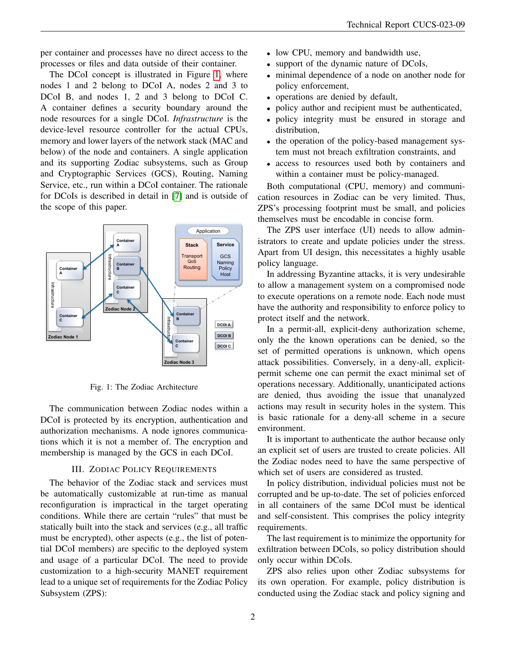per container and processes have no direct access to the processes or files and data outside of their container.

The DCoI concept is illustrated in Figure [1,](#page-1-1) where nodes 1 and 2 belong to DCoI A, nodes 2 and 3 to DCoI B, and nodes 1, 2 and 3 belong to DCoI C. A container defines a security boundary around the node resources for a single DCoI. *Infrastructure* is the device-level resource controller for the actual CPUs, memory and lower layers of the network stack (MAC and below) of the node and containers. A single application and its supporting Zodiac subsystems, such as Group and Cryptographic Services (GCS), Routing, Naming Service, etc., run within a DCoI container. The rationale for DCoIs is described in detail in [\[7\]](#page-7-6) and is outside of the scope of this paper.



<span id="page-1-1"></span>Fig. 1: The Zodiac Architecture

The communication between Zodiac nodes within a DCoI is protected by its encryption, authentication and authorization mechanisms. A node ignores communications which it is not a member of. The encryption and membership is managed by the GCS in each DCoI.

# III. ZODIAC POLICY REQUIREMENTS

<span id="page-1-0"></span>The behavior of the Zodiac stack and services must be automatically customizable at run-time as manual reconfiguration is impractical in the target operating conditions. While there are certain "rules" that must be statically built into the stack and services (e.g., all traffic must be encrypted), other aspects (e.g., the list of potential DCoI members) are specific to the deployed system and usage of a particular DCoI. The need to provide customization to a high-security MANET requirement lead to a unique set of requirements for the Zodiac Policy Subsystem (ZPS):

- low CPU, memory and bandwidth use,
- support of the dynamic nature of DCoIs,
- minimal dependence of a node on another node for policy enforcement,
- operations are denied by default,
- policy author and recipient must be authenticated,
- policy integrity must be ensured in storage and distribution,
- the operation of the policy-based management system must not breach exfiltration constraints, and
- access to resources used both by containers and within a container must be policy-managed.

Both computational (CPU, memory) and communication resources in Zodiac can be very limited. Thus, ZPS's processing footprint must be small, and policies themselves must be encodable in concise form.

The ZPS user interface (UI) needs to allow administrators to create and update policies under the stress. Apart from UI design, this necessitates a highly usable policy language.

In addressing Byzantine attacks, it is very undesirable to allow a management system on a compromised node to execute operations on a remote node. Each node must have the authority and responsibility to enforce policy to protect itself and the network.

In a permit-all, explicit-deny authorization scheme, only the the known operations can be denied, so the set of permitted operations is unknown, which opens attack possibilities. Conversely, in a deny-all, explicitpermit scheme one can permit the exact minimal set of operations necessary. Additionally, unanticipated actions are denied, thus avoiding the issue that unanalyzed actions may result in security holes in the system. This is basic rationale for a deny-all scheme in a secure environment.

It is important to authenticate the author because only an explicit set of users are trusted to create policies. All the Zodiac nodes need to have the same perspective of which set of users are considered as trusted.

In policy distribution, individual policies must not be corrupted and be up-to-date. The set of policies enforced in all containers of the same DCoI must be identical and self-consistent. This comprises the policy integrity requirements.

The last requirement is to minimize the opportunity for exfiltration between DCoIs, so policy distribution should only occur within DCoIs.

ZPS also relies upon other Zodiac subsystems for its own operation. For example, policy distribution is conducted using the Zodiac stack and policy signing and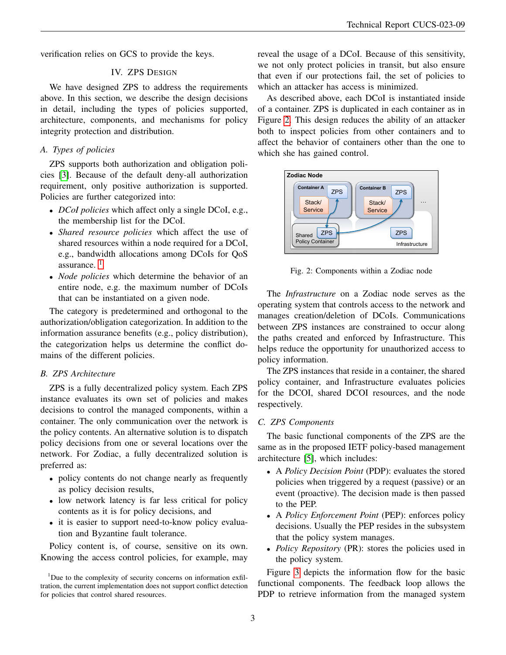<span id="page-2-0"></span>verification relies on GCS to provide the keys.

## IV. ZPS DESIGN

We have designed ZPS to address the requirements above. In this section, we describe the design decisions in detail, including the types of policies supported, architecture, components, and mechanisms for policy integrity protection and distribution.

# *A. Types of policies*

ZPS supports both authorization and obligation policies [\[3\]](#page-7-2). Because of the default deny-all authorization requirement, only positive authorization is supported. Policies are further categorized into:

- *DCoI policies* which affect only a single DCoI, e.g., the membership list for the DCoI.
- *Shared resource policies* which affect the use of shared resources within a node required for a DCoI, e.g., bandwidth allocations among DCoIs for QoS assurance. [1](#page-2-1)
- *Node policies* which determine the behavior of an entire node, e.g. the maximum number of DCoIs that can be instantiated on a given node.

The category is predetermined and orthogonal to the authorization/obligation categorization. In addition to the information assurance benefits (e.g., policy distribution), the categorization helps us determine the conflict domains of the different policies.

## *B. ZPS Architecture*

ZPS is a fully decentralized policy system. Each ZPS instance evaluates its own set of policies and makes decisions to control the managed components, within a container. The only communication over the network is the policy contents. An alternative solution is to dispatch policy decisions from one or several locations over the network. For Zodiac, a fully decentralized solution is preferred as:

- policy contents do not change nearly as frequently as policy decision results,
- low network latency is far less critical for policy contents as it is for policy decisions, and
- it is easier to support need-to-know policy evaluation and Byzantine fault tolerance.

Policy content is, of course, sensitive on its own. Knowing the access control policies, for example, may reveal the usage of a DCoI. Because of this sensitivity, we not only protect policies in transit, but also ensure that even if our protections fail, the set of policies to which an attacker has access is minimized.

As described above, each DCoI is instantiated inside of a container. ZPS is duplicated in each container as in Figure [2.](#page-2-2) This design reduces the ability of an attacker both to inspect policies from other containers and to affect the behavior of containers other than the one to which she has gained control.



<span id="page-2-2"></span>Fig. 2: Components within a Zodiac node

The *Infrastructure* on a Zodiac node serves as the operating system that controls access to the network and manages creation/deletion of DCoIs. Communications between ZPS instances are constrained to occur along the paths created and enforced by Infrastructure. This helps reduce the opportunity for unauthorized access to policy information.

The ZPS instances that reside in a container, the shared policy container, and Infrastructure evaluates policies for the DCOI, shared DCOI resources, and the node respectively.

### *C. ZPS Components*

The basic functional components of the ZPS are the same as in the proposed IETF policy-based management architecture [\[5\]](#page-7-4), which includes:

- A *Policy Decision Point* (PDP): evaluates the stored policies when triggered by a request (passive) or an event (proactive). The decision made is then passed to the PEP.
- A *Policy Enforcement Point* (PEP): enforces policy decisions. Usually the PEP resides in the subsystem that the policy system manages.
- *Policy Repository* (PR): stores the policies used in the policy system.

Figure [3](#page-3-0) depicts the information flow for the basic functional components. The feedback loop allows the PDP to retrieve information from the managed system

<span id="page-2-1"></span><sup>&</sup>lt;sup>1</sup>Due to the complexity of security concerns on information exfiltration, the current implementation does not support conflict detection for policies that control shared resources.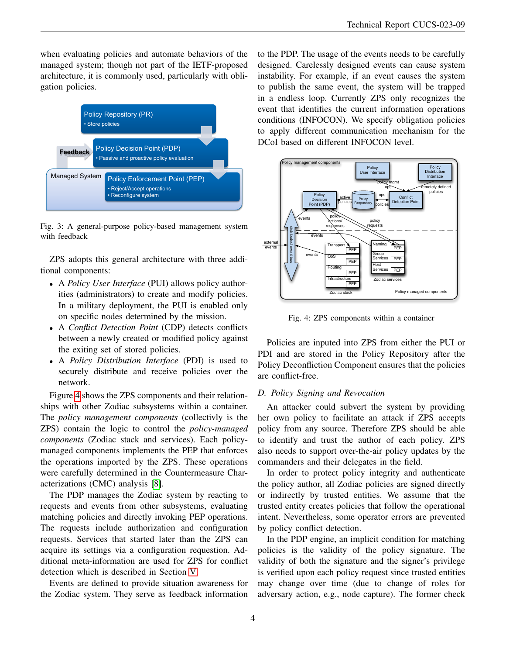when evaluating policies and automate behaviors of the managed system; though not part of the IETF-proposed architecture, it is commonly used, particularly with obligation policies.



<span id="page-3-0"></span>Fig. 3: A general-purpose policy-based management system with feedback

ZPS adopts this general architecture with three additional components:

- A *Policy User Interface* (PUI) allows policy authorities (administrators) to create and modify policies. In a military deployment, the PUI is enabled only on specific nodes determined by the mission.
- A *Conflict Detection Point* (CDP) detects conflicts between a newly created or modified policy against the exiting set of stored policies.
- A *Policy Distribution Interface* (PDI) is used to securely distribute and receive policies over the network.

Figure [4](#page-3-1) shows the ZPS components and their relationships with other Zodiac subsystems within a container. The *policy management components* (collectivly is the ZPS) contain the logic to control the *policy-managed components* (Zodiac stack and services). Each policymanaged components implements the PEP that enforces the operations imported by the ZPS. These operations were carefully determined in the Countermeasure Characterizations (CMC) analysis [\[8\]](#page-7-7).

The PDP manages the Zodiac system by reacting to requests and events from other subsystems, evaluating matching policies and directly invoking PEP operations. The requests include authorization and configuration requests. Services that started later than the ZPS can acquire its settings via a configuration requestion. Additional meta-information are used for ZPS for conflict detection which is described in Section [V.](#page-4-0)

Events are defined to provide situation awareness for the Zodiac system. They serve as feedback information

to the PDP. The usage of the events needs to be carefully designed. Carelessly designed events can cause system instability. For example, if an event causes the system to publish the same event, the system will be trapped in a endless loop. Currently ZPS only recognizes the event that identifies the current information operations conditions (INFOCON). We specify obligation policies to apply different communication mechanism for the DCoI based on different INFOCON level.



<span id="page-3-1"></span>Fig. 4: ZPS components within a container

Policies are inputed into ZPS from either the PUI or PDI and are stored in the Policy Repository after the Policy Deconfliction Component ensures that the policies are conflict-free.

# *D. Policy Signing and Revocation*

An attacker could subvert the system by providing her own policy to facilitate an attack if ZPS accepts policy from any source. Therefore ZPS should be able to identify and trust the author of each policy. ZPS also needs to support over-the-air policy updates by the commanders and their delegates in the field.

In order to protect policy integrity and authenticate the policy author, all Zodiac policies are signed directly or indirectly by trusted entities. We assume that the trusted entity creates policies that follow the operational intent. Nevertheless, some operator errors are prevented by policy conflict detection.

In the PDP engine, an implicit condition for matching policies is the validity of the policy signature. The validity of both the signature and the signer's privilege is verified upon each policy request since trusted entities may change over time (due to change of roles for adversary action, e.g., node capture). The former check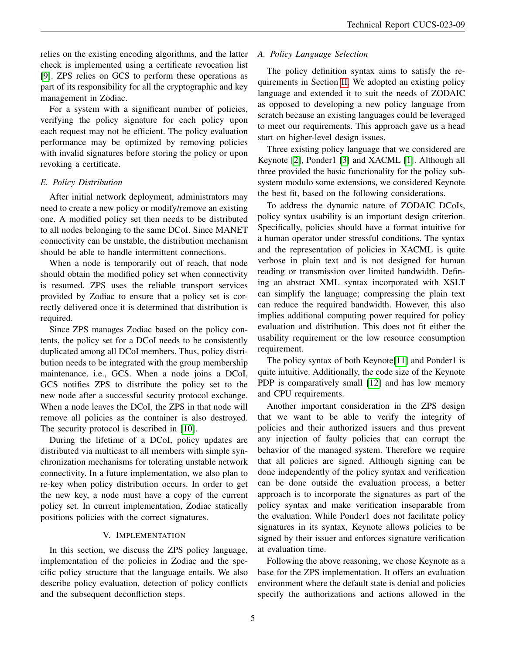relies on the existing encoding algorithms, and the latter check is implemented using a certificate revocation list [\[9\]](#page-7-8). ZPS relies on GCS to perform these operations as part of its responsibility for all the cryptographic and key management in Zodiac.

For a system with a significant number of policies, verifying the policy signature for each policy upon each request may not be efficient. The policy evaluation performance may be optimized by removing policies with invalid signatures before storing the policy or upon revoking a certificate.

# *E. Policy Distribution*

After initial network deployment, administrators may need to create a new policy or modify/remove an existing one. A modified policy set then needs to be distributed to all nodes belonging to the same DCoI. Since MANET connectivity can be unstable, the distribution mechanism should be able to handle intermittent connections.

When a node is temporarily out of reach, that node should obtain the modified policy set when connectivity is resumed. ZPS uses the reliable transport services provided by Zodiac to ensure that a policy set is correctly delivered once it is determined that distribution is required.

Since ZPS manages Zodiac based on the policy contents, the policy set for a DCoI needs to be consistently duplicated among all DCoI members. Thus, policy distribution needs to be integrated with the group membership maintenance, i.e., GCS. When a node joins a DCoI, GCS notifies ZPS to distribute the policy set to the new node after a successful security protocol exchange. When a node leaves the DCoI, the ZPS in that node will remove all policies as the container is also destroyed. The security protocol is described in [\[10\]](#page-7-9).

During the lifetime of a DCoI, policy updates are distributed via multicast to all members with simple synchronization mechanisms for tolerating unstable network connectivity. In a future implementation, we also plan to re-key when policy distribution occurs. In order to get the new key, a node must have a copy of the current policy set. In current implementation, Zodiac statically positions policies with the correct signatures.

# V. IMPLEMENTATION

<span id="page-4-0"></span>In this section, we discuss the ZPS policy language, implementation of the policies in Zodiac and the specific policy structure that the language entails. We also describe policy evaluation, detection of policy conflicts and the subsequent deconfliction steps.

# *A. Policy Language Selection*

The policy definition syntax aims to satisfy the requirements in Section [II.](#page-0-0) We adopted an existing policy language and extended it to suit the needs of ZODAIC as opposed to developing a new policy language from scratch because an existing languages could be leveraged to meet our requirements. This approach gave us a head start on higher-level design issues.

Three existing policy language that we considered are Keynote [\[2\]](#page-7-1), Ponder1 [\[3\]](#page-7-2) and XACML [\[1\]](#page-7-0). Although all three provided the basic functionality for the policy subsystem modulo some extensions, we considered Keynote the best fit, based on the following considerations.

To address the dynamic nature of ZODAIC DCoIs, policy syntax usability is an important design criterion. Specifically, policies should have a format intuitive for a human operator under stressful conditions. The syntax and the representation of policies in XACML is quite verbose in plain text and is not designed for human reading or transmission over limited bandwidth. Defining an abstract XML syntax incorporated with XSLT can simplify the language; compressing the plain text can reduce the required bandwidth. However, this also implies additional computing power required for policy evaluation and distribution. This does not fit either the usability requirement or the low resource consumption requirement.

The policy syntax of both Keynote<sup>[\[11\]](#page-7-10)</sup> and Ponder1 is quite intuitive. Additionally, the code size of the Keynote PDP is comparatively small [\[12\]](#page-7-11) and has low memory and CPU requirements.

Another important consideration in the ZPS design that we want to be able to verify the integrity of policies and their authorized issuers and thus prevent any injection of faulty policies that can corrupt the behavior of the managed system. Therefore we require that all policies are signed. Although signing can be done independently of the policy syntax and verification can be done outside the evaluation process, a better approach is to incorporate the signatures as part of the policy syntax and make verification inseparable from the evaluation. While Ponder1 does not facilitate policy signatures in its syntax, Keynote allows policies to be signed by their issuer and enforces signature verification at evaluation time.

Following the above reasoning, we chose Keynote as a base for the ZPS implementation. It offers an evaluation environment where the default state is denial and policies specify the authorizations and actions allowed in the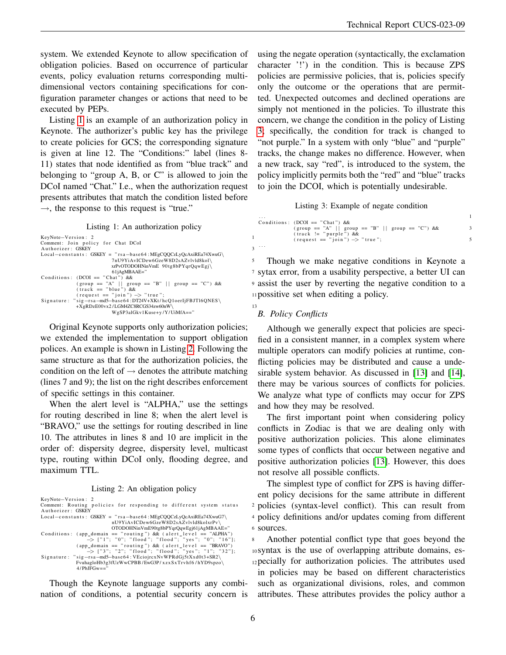system. We extended Keynote to allow specification of obligation policies. Based on occurrence of particular events, policy evaluation returns corresponding multidimensional vectors containing specifications for configuration parameter changes or actions that need to be executed by PEPs.

Listing [1](#page-5-0) is an example of an authorization policy in Keynote. The authorizer's public key has the privilege to create policies for GCS; the corresponding signature is given at line 12. The "Conditions:" label (lines 8- 11) states that node identified as from "blue track" and belonging to "group A, B, or C" is allowed to join the DCoI named "Chat." I.e., when the authorization request presents attributes that match the condition listed before  $\rightarrow$ , the response to this request is "true."

Listing 1: An authorization policy

```
KevNote-Version: 2 1
Comment: Join policy for Chat DCoI<br>Authorizer: GSKEY
A u t h o r i z e r : GSKEY 3
L ocal−c o n s t a n t s : GSKEY = " r s a−b a s e 6 4 : MEgCQQCzLyQcAxiREa74XwuG\
                         7nU9YiAvICDew6GzeW8D2sAZvlvld8kol\ 5
                         xrPvOTODOHNinVmE 90 tg8bPYqrQqwEgj\
                         761jAgMBAAE="
Conditions: (DCOI == "Chat") \&&(group == "A" || group == "B" || group == "C") && 9<br>(track == "blue") &&<br>(request == "join") -> "true"; 11
Signature: "sig-rsa-md5-base64:DT24V+XKt/hcQ1oerIjFBJTl6QNES\
            +XgRDzE00vx2/LGM4ZC8RCGS34zw60nW\ 13
                         WgSP3alGkv1Kuse+y/Y/UiMfA=="
```
Original Keynote supports only authorization policies; we extended the implementation to support obligation polices. An example is shown in Listing [2.](#page-5-1) Following the same structure as that for the authorization policies, the condition on the left of  $\rightarrow$  denotes the attribute matching (lines 7 and 9); the list on the right describes enforcement of specific settings in this container.

When the alert level is "ALPHA," use the settings for routing described in line 8; when the alert level is "BRAVO," use the settings for routing described in line 10. The attributes in lines 8 and 10 are implicit in the order of: dispersity degree, dispersity level, multicast type, routing within DCoI only, flooding degree, and maximum TTL.

Listing 2: An obligation policy

<span id="page-5-1"></span>

| KeyNote-Version: 2                                                   |                |
|----------------------------------------------------------------------|----------------|
| Comment: Routing policies for responding to different system status  | $\overline{2}$ |
| Authorizer: GSKEY                                                    |                |
| $Local-constants: GSKEY = "rsa-base64 : MEgCOOCzLyQcAxiREa74XwuG7\$  | 4              |
| nU9YiAvICDew6GzeW8D2sAZvlvld8kolxrPv\                                |                |
| OTODOHNinVmE90tg8bPYqrQqwEgj61jAgMBAAE="                             | 6              |
| Conditions: (app domain $==$ "routing") & (alert level $==$ "ALPHA") |                |
| $\Rightarrow$ ["1"; "0"; "flood"; "flood"; "yes"; "0"; "16"];        | 8              |
| (app domain $==$ "routing") & (alert level $==$ "BRAVO")             |                |
| $\Rightarrow$ ["3"; "2"; "flood"; "flood"; "yes"; "1"; "32"];        | 10             |
| Signature: " $sig-rsa$ -md5-base64: VEciojrcxNvWPRdGj5tXxd0t3+SR2\   |                |
| FvuhagloHb3g3fUzWwCPBB/EwG3P/xzxSxTrvhf6/hYD9spzo\                   | 12             |
| $4$ /PbJFGw=="                                                       |                |
|                                                                      |                |

Though the Keynote language supports any combination of conditions, a potential security concern is using the negate operation (syntactically, the exclamation character '!') in the condition. This is because ZPS policies are permissive policies, that is, policies specify only the outcome or the operations that are permitted. Unexpected outcomes and declined operations are simply not mentioned in the policies. To illustrate this concern, we change the condition in the policy of Listing [3;](#page-5-2) specifically, the condition for track is changed to "not purple." In a system with only "blue" and "purple" tracks, the change makes no difference. However, when a new track, say "red", is introduced to the system, the policy implicitly permits both the "red" and "blue" tracks to join the DCOI, which is potentially undesirable.

Listing 3: Example of negate condition

<span id="page-5-2"></span>

| .        |                                                               |  |
|----------|---------------------------------------------------------------|--|
|          | Conditions: $(DCOI == "Chat") &$                              |  |
|          |                                                               |  |
|          | $(\text{track} := \text{"purple"}\) \&\&\$                    |  |
|          | $(\text{request} == \text{"join"}) \Rightarrow \text{"true"}$ |  |
| $\cdots$ |                                                               |  |

Though we make negative conditions in Keynote a sytax error, from a usability perspective, a better UI can assist the user by reverting the negative condition to a possitive set when editing a policy.

# *B. Policy Conflicts*

Although we generally expect that policies are specified in a consistent manner, in a complex system where multiple operators can modify policies at runtime, conflicting policies may be distributed and cause a undesirable system behavior. As discussed in [\[13\]](#page-7-12) and [\[14\]](#page-7-13), there may be various sources of conflicts for policies. We analyze what type of conflicts may occur for ZPS and how they may be resolved.

The first important point when considering policy conflicts in Zodiac is that we are dealing only with positive authorization policies. This alone eliminates some types of conflicts that occur between negative and positive authorization policies [\[13\]](#page-7-12). However, this does not resolve all possible conflicts.

The simplest type of conflict for ZPS is having different policy decisions for the same attribute in different policies (syntax-level conflict). This can result from policy definitions and/or updates coming from different sources.

Another potential conflict type that goes beyond the syntax is the use of overlapping attribute domains, es-12 pecially for authorization policies. The attributes used in policies may be based on different characteristics such as organizational divisions, roles, and common attributes. These attributes provides the policy author a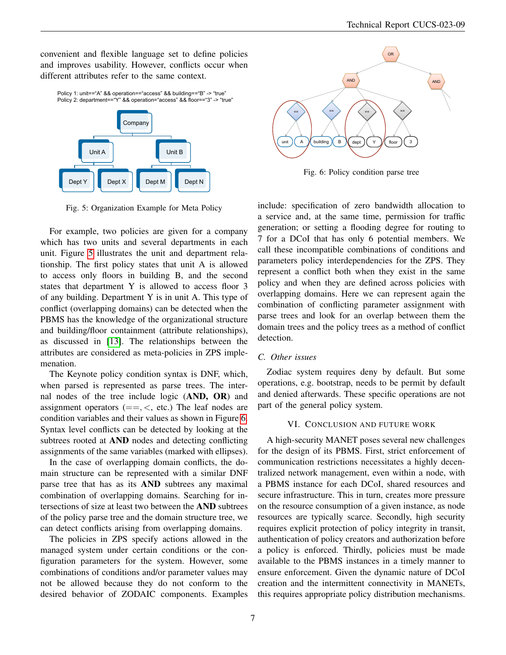convenient and flexible language set to define policies and improves usability. However, conflicts occur when different attributes refer to the same context.



<span id="page-6-1"></span>Fig. 5: Organization Example for Meta Policy

For example, two policies are given for a company which has two units and several departments in each unit. Figure [5](#page-6-1) illustrates the unit and department relationship. The first policy states that unit A is allowed to access only floors in building B, and the second states that department Y is allowed to access floor 3 of any building. Department Y is in unit A. This type of conflict (overlapping domains) can be detected when the PBMS has the knowledge of the organizational structure and building/floor containment (attribute relationships), as discussed in [\[13\]](#page-7-12). The relationships between the attributes are considered as meta-policies in ZPS implemenation.

The Keynote policy condition syntax is DNF, which, when parsed is represented as parse trees. The internal nodes of the tree include logic (AND, OR) and assignment operators  $(==, <, etc.)$  The leaf nodes are condition variables and their values as shown in Figure [6.](#page-6-2) Syntax level conflicts can be detected by looking at the subtrees rooted at AND nodes and detecting conflicting assignments of the same variables (marked with ellipses).

In the case of overlapping domain conflicts, the domain structure can be represented with a similar DNF parse tree that has as its AND subtrees any maximal combination of overlapping domains. Searching for intersections of size at least two between the AND subtrees of the policy parse tree and the domain structure tree, we can detect conflicts arising from overlapping domains.

The policies in ZPS specify actions allowed in the managed system under certain conditions or the configuration parameters for the system. However, some combinations of conditions and/or parameter values may not be allowed because they do not conform to the desired behavior of ZODAIC components. Examples



<span id="page-6-2"></span>Fig. 6: Policy condition parse tree

include: specification of zero bandwidth allocation to a service and, at the same time, permission for traffic generation; or setting a flooding degree for routing to 7 for a DCoI that has only 6 potential members. We call these incompatible combinations of conditions and parameters policy interdependencies for the ZPS. They represent a conflict both when they exist in the same policy and when they are defined across policies with overlapping domains. Here we can represent again the combination of conflicting parameter assignment with parse trees and look for an overlap between them the domain trees and the policy trees as a method of conflict detection.

## *C. Other issues*

Zodiac system requires deny by default. But some operations, e.g. bootstrap, needs to be permit by default and denied afterwards. These specific operations are not part of the general policy system.

## VI. CONCLUSION AND FUTURE WORK

<span id="page-6-0"></span>A high-security MANET poses several new challenges for the design of its PBMS. First, strict enforcement of communication restrictions necessitates a highly decentralized network management, even within a node, with a PBMS instance for each DCoI, shared resources and secure infrastructure. This in turn, creates more pressure on the resource consumption of a given instance, as node resources are typically scarce. Secondly, high security requires explicit protection of policy integrity in transit, authentication of policy creators and authorization before a policy is enforced. Thirdly, policies must be made available to the PBMS instances in a timely manner to ensure enforcement. Given the dynamic nature of DCoI creation and the intermittent connectivity in MANETs, this requires appropriate policy distribution mechanisms.